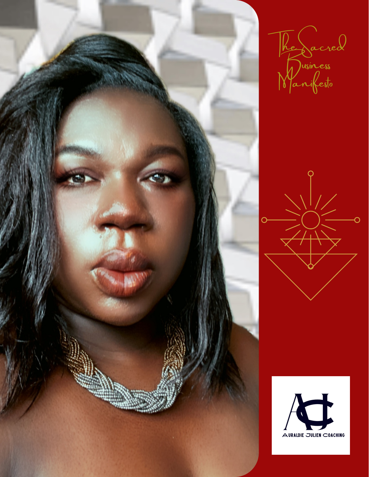

he Sacred  $h$ ) usiness Manifesto



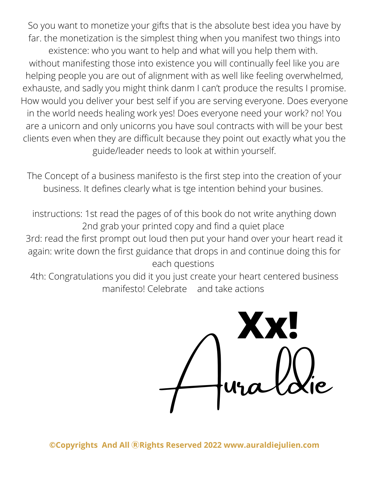So you want to monetize your gifts that is the absolute best idea you have by far. the monetization is the simplest thing when you manifest two things into existence: who you want to help and what will you help them with. without manifesting those into existence you will continually feel like you are helping people you are out of alignment with as well like feeling overwhelmed, exhauste, and sadly you might think danm I can't produce the results I promise. How would you deliver your best self if you are serving everyone. Does everyone in the world needs healing work yes! Does everyone need your work? no! You are a unicorn and only unicorns you have soul contracts with will be your best clients even when they are difficult because they point out exactly what you the guide/leader needs to look at within yourself.

The Concept of a business manifesto is the first step into the creation of your business. It defines clearly what is tge intention behind your busines.

instructions: 1st read the pages of of this book do not write anything down 2nd grab your printed copy and find a quiet place 3rd: read the first prompt out loud then put your hand over your heart read it again: write down the first guidance that drops in and continue doing this for each questions

4th: Congratulations you did it you just create your heart centered business manifesto! Celebrate and take actions

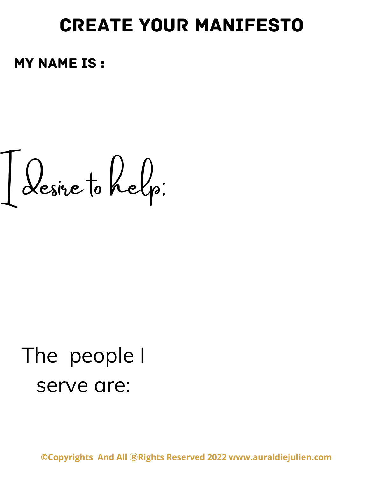## create your manifesto

my name is :

I desire to help:

## The people I serve are: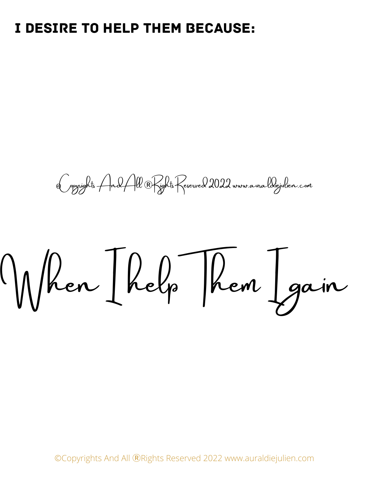## I desire to help them because:

©Copyrights And All ⓇRights Reserved 2022 www.auraldiejulien.com

When I help Them I gain